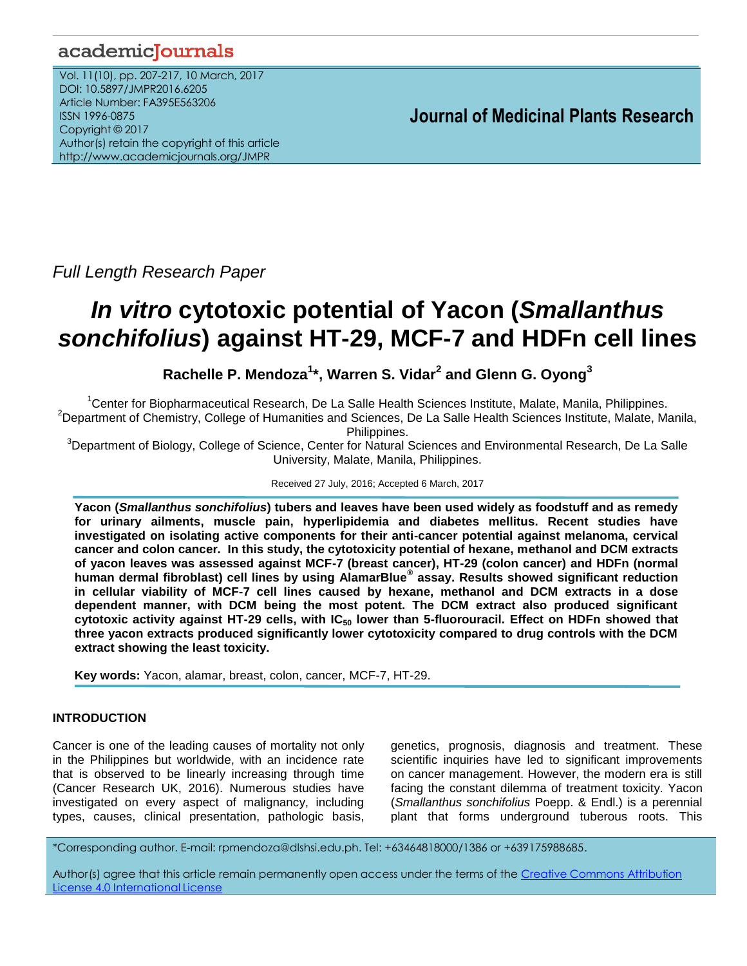# academicJournals

Vol. 11(10), pp. 207-217, 10 March, 2017 DOI: 10.5897/JMPR2016.6205 Article Number: FA395E563206 ISSN 1996-0875 Copyright © 2017 Author(s) retain the copyright of this article http://www.academicjournals.org/JMPR

 **Journal of Medicinal Plants Research**

*Full Length Research Paper*

# *In vitro* **cytotoxic potential of Yacon (***Smallanthus sonchifolius***) against HT-29, MCF-7 and HDFn cell lines**

**Rachelle P. Mendoza<sup>1</sup> \*, Warren S. Vidar<sup>2</sup> and Glenn G. Oyong<sup>3</sup>**

<sup>1</sup>Center for Biopharmaceutical Research, De La Salle Health Sciences Institute, Malate, Manila, Philippines.  $2$ Department of Chemistry, College of Humanities and Sciences, De La Salle Health Sciences Institute, Malate, Manila,

Philippines.

<sup>3</sup>Department of Biology, College of Science, Center for Natural Sciences and Environmental Research, De La Salle University, Malate, Manila, Philippines.

Received 27 July, 2016; Accepted 6 March, 2017

**Yacon (***Smallanthus sonchifolius***) tubers and leaves have been used widely as foodstuff and as remedy for urinary ailments, muscle pain, hyperlipidemia and diabetes mellitus. Recent studies have investigated on isolating active components for their anti-cancer potential against melanoma, cervical cancer and colon cancer. In this study, the cytotoxicity potential of hexane, methanol and DCM extracts of yacon leaves was assessed against MCF-7 (breast cancer), HT-29 (colon cancer) and HDFn (normal human dermal fibroblast) cell lines by using AlamarBlue® assay. Results showed significant reduction in cellular viability of MCF-7 cell lines caused by hexane, methanol and DCM extracts in a dose dependent manner, with DCM being the most potent. The DCM extract also produced significant cytotoxic activity against HT-29 cells, with IC<sup>50</sup> lower than 5-fluorouracil. Effect on HDFn showed that three yacon extracts produced significantly lower cytotoxicity compared to drug controls with the DCM extract showing the least toxicity.** 

**Key words:** Yacon, alamar, breast, colon, cancer, MCF-7, HT-29.

# **INTRODUCTION**

Cancer is one of the leading causes of mortality not only in the Philippines but worldwide, with an incidence rate that is observed to be linearly increasing through time (Cancer Research UK, 2016). Numerous studies have investigated on every aspect of malignancy, including types, causes, clinical presentation, pathologic basis,

genetics, prognosis, diagnosis and treatment. These scientific inquiries have led to significant improvements on cancer management. However, the modern era is still facing the constant dilemma of treatment toxicity. Yacon (*Smallanthus sonchifolius* Poepp. & Endl.) is a perennial plant that forms underground tuberous roots. This

\*Corresponding author. E-mail: rpmendoza@dlshsi.edu.ph. Tel: +63464818000/1386 or +639175988685.

Author(s) agree that this article remain permanently open access under the terms of the Creative Commons Attribution License 4.0 [International](http://creativecommons.org/licenses/by/4.0/deed.en_US) License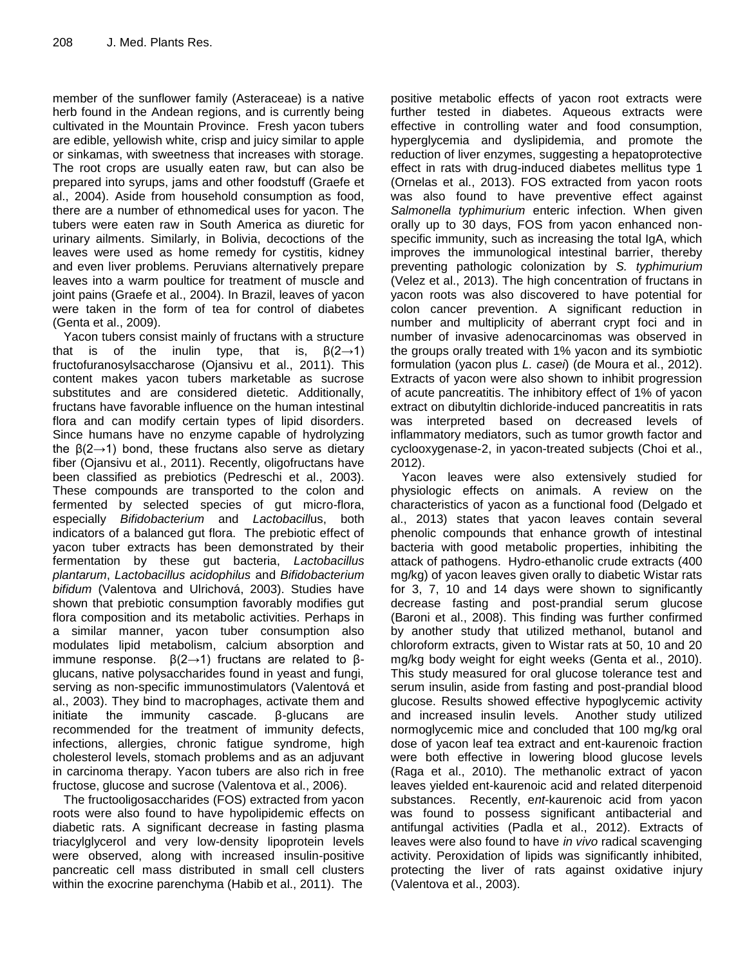member of the sunflower family (Asteraceae) is a native herb found in the Andean regions, and is currently being cultivated in the Mountain Province. Fresh yacon tubers are edible, yellowish white, crisp and juicy similar to apple or sinkamas, with sweetness that increases with storage. The root crops are usually eaten raw, but can also be prepared into syrups, jams and other foodstuff (Graefe et al., 2004). Aside from household consumption as food, there are a number of ethnomedical uses for yacon. The tubers were eaten raw in South America as diuretic for urinary ailments. Similarly, in Bolivia, decoctions of the leaves were used as home remedy for cystitis, kidney and even liver problems. Peruvians alternatively prepare leaves into a warm poultice for treatment of muscle and joint pains (Graefe et al., 2004). In Brazil, leaves of yacon were taken in the form of tea for control of diabetes (Genta et al., 2009).

Yacon tubers consist mainly of fructans with a structure that is of the inulin type, that is,  $\beta(2\rightarrow 1)$ fructofuranosylsaccharose (Ojansivu et al., 2011). This content makes yacon tubers marketable as sucrose substitutes and are considered dietetic. Additionally, fructans have favorable influence on the human intestinal flora and can modify certain types of lipid disorders. Since humans have no enzyme capable of hydrolyzing the  $\beta(2\rightarrow 1)$  bond, these fructans also serve as dietary fiber (Ojansivu et al., 2011). Recently, oligofructans have been classified as prebiotics (Pedreschi et al., 2003). These compounds are transported to the colon and fermented by selected species of gut micro-flora, especially *Bifidobacterium* and *Lactobacill*us, both indicators of a balanced gut flora. The prebiotic effect of yacon tuber extracts has been demonstrated by their fermentation by these gut bacteria, *Lactobacillus plantarum*, *Lactobacillus acidophilus* and *Bifidobacterium bifidum* (Valentova and Ulrichová, 2003). Studies have shown that prebiotic consumption favorably modifies gut flora composition and its metabolic activities. Perhaps in a similar manner, yacon tuber consumption also modulates lipid metabolism, calcium absorption and immune response.  $\beta(2\rightarrow 1)$  fructans are related to  $\beta$ glucans, native polysaccharides found in yeast and fungi, serving as non-specific immunostimulators (Valentová et al., 2003). They bind to macrophages, activate them and initiate the immunity cascade. β-glucans are recommended for the treatment of immunity defects, infections, allergies, chronic fatigue syndrome, high cholesterol levels, stomach problems and as an adjuvant in carcinoma therapy. Yacon tubers are also rich in free fructose, glucose and sucrose (Valentova et al., 2006).

The fructooligosaccharides (FOS) extracted from yacon roots were also found to have hypolipidemic effects on diabetic rats. A significant decrease in fasting plasma triacylglycerol and very low-density lipoprotein levels were observed, along with increased insulin-positive pancreatic cell mass distributed in small cell clusters within the exocrine parenchyma (Habib et al., 2011). The

positive metabolic effects of yacon root extracts were further tested in diabetes. Aqueous extracts were effective in controlling water and food consumption, hyperglycemia and dyslipidemia, and promote the reduction of liver enzymes, suggesting a hepatoprotective effect in rats with drug-induced diabetes mellitus type 1 (Ornelas et al., 2013). FOS extracted from yacon roots was also found to have preventive effect against *Salmonella typhimurium* enteric infection. When given orally up to 30 days, FOS from yacon enhanced nonspecific immunity, such as increasing the total IgA, which improves the immunological intestinal barrier, thereby preventing pathologic colonization by *S. typhimurium* (Velez et al., 2013). The high concentration of fructans in yacon roots was also discovered to have potential for colon cancer prevention. A significant reduction in number and multiplicity of aberrant crypt foci and in number of invasive adenocarcinomas was observed in the groups orally treated with 1% yacon and its symbiotic formulation (yacon plus *L. casei*) (de Moura et al., 2012). Extracts of yacon were also shown to inhibit progression of acute pancreatitis. The inhibitory effect of 1% of yacon extract on dibutyltin dichloride-induced pancreatitis in rats was interpreted based on decreased levels of inflammatory mediators, such as tumor growth factor and cyclooxygenase-2, in yacon-treated subjects (Choi et al., 2012).

Yacon leaves were also extensively studied for physiologic effects on animals. A review on the characteristics of yacon as a functional food (Delgado et al., 2013) states that yacon leaves contain several phenolic compounds that enhance growth of intestinal bacteria with good metabolic properties, inhibiting the attack of pathogens. Hydro-ethanolic crude extracts (400 mg/kg) of yacon leaves given orally to diabetic Wistar rats for 3, 7, 10 and 14 days were shown to significantly decrease fasting and post-prandial serum glucose (Baroni et al., 2008). This finding was further confirmed by another study that utilized methanol, butanol and chloroform extracts, given to Wistar rats at 50, 10 and 20 mg/kg body weight for eight weeks (Genta et al., 2010). This study measured for oral glucose tolerance test and serum insulin, aside from fasting and post-prandial blood glucose. Results showed effective hypoglycemic activity and increased insulin levels. Another study utilized normoglycemic mice and concluded that 100 mg/kg oral dose of yacon leaf tea extract and ent-kaurenoic fraction were both effective in lowering blood glucose levels (Raga et al., 2010). The methanolic extract of yacon leaves yielded ent-kaurenoic acid and related diterpenoid substances. Recently, e*nt*-kaurenoic acid from yacon was found to possess significant antibacterial and antifungal activities (Padla et al., 2012). Extracts of leaves were also found to have *in vivo* radical scavenging activity. Peroxidation of lipids was significantly inhibited, protecting the liver of rats against oxidative injury (Valentova et al., 2003).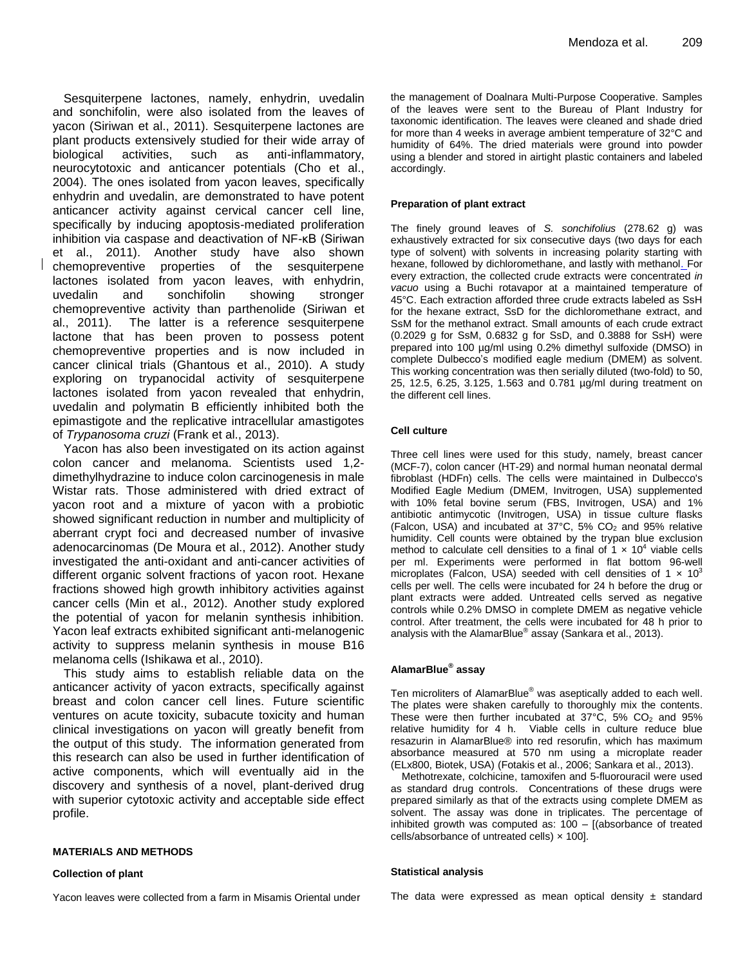Sesquiterpene lactones, namely, enhydrin, uvedalin and sonchifolin, were also isolated from the leaves of yacon (Siriwan et al., 2011). Sesquiterpene lactones are plant products extensively studied for their wide array of biological activities, such as anti-inflammatory, neurocytotoxic and anticancer potentials (Cho et al., 2004). The ones isolated from yacon leaves, specifically enhydrin and uvedalin, are demonstrated to have potent anticancer activity against cervical cancer cell line, specifically by inducing apoptosis-mediated proliferation inhibition via caspase and deactivation of NF-κB (Siriwan et al., 2011). Another study have also shown chemopreventive properties of the sesquiterpene lactones isolated from yacon leaves, with enhydrin, uvedalin and sonchifolin showing stronger chemopreventive activity than parthenolide (Siriwan et al., 2011). The latter is a reference sesquiterpene lactone that has been proven to possess potent chemopreventive properties and is now included in cancer clinical trials (Ghantous et al., 2010). A study exploring on trypanocidal activity of sesquiterpene lactones isolated from yacon revealed that enhydrin, uvedalin and polymatin B efficiently inhibited both the epimastigote and the replicative intracellular amastigotes of *Trypanosoma cruzi* (Frank et al., 2013).

Yacon has also been investigated on its action against colon cancer and melanoma. Scientists used 1,2 dimethylhydrazine to induce colon carcinogenesis in male Wistar rats. Those administered with dried extract of yacon root and a mixture of yacon with a probiotic showed significant reduction in number and multiplicity of aberrant crypt foci and decreased number of invasive adenocarcinomas (De Moura et al., 2012). Another study investigated the anti-oxidant and anti-cancer activities of different organic solvent fractions of yacon root. Hexane fractions showed high growth inhibitory activities against cancer cells (Min et al., 2012). Another study explored the potential of yacon for melanin synthesis inhibition. Yacon leaf extracts exhibited significant anti-melanogenic activity to suppress melanin synthesis in mouse B16 melanoma cells (Ishikawa et al., 2010).

This study aims to establish reliable data on the anticancer activity of yacon extracts, specifically against breast and colon cancer cell lines. Future scientific ventures on acute toxicity, subacute toxicity and human clinical investigations on yacon will greatly benefit from the output of this study. The information generated from this research can also be used in further identification of active components, which will eventually aid in the discovery and synthesis of a novel, plant-derived drug with superior cytotoxic activity and acceptable side effect profile.

#### **MATERIALS AND METHODS**

#### **Collection of plant**

Yacon leaves were collected from a farm in Misamis Oriental under

the management of Doalnara Multi-Purpose Cooperative. Samples of the leaves were sent to the Bureau of Plant Industry for taxonomic identification. The leaves were cleaned and shade dried for more than 4 weeks in average ambient temperature of 32°C and humidity of 64%. The dried materials were ground into powder using a blender and stored in airtight plastic containers and labeled accordingly.

#### **Preparation of plant extract**

The finely ground leaves of *S. sonchifolius* (278.62 g) was exhaustively extracted for six consecutive days (two days for each type of solvent) with solvents in increasing polarity starting with hexane, followed by dichloromethane, and lastly with methanol. For every extraction, the collected crude extracts were concentrated *in vacuo* using a Buchi rotavapor at a maintained temperature of 45°C. Each extraction afforded three crude extracts labeled as SsH for the hexane extract, SsD for the dichloromethane extract, and SsM for the methanol extract. Small amounts of each crude extract (0.2029 g for SsM, 0.6832 g for SsD, and 0.3888 for SsH) were prepared into 100 µg/ml using 0.2% dimethyl sulfoxide (DMSO) in complete Dulbecco's modified eagle medium (DMEM) as solvent. This working concentration was then serially diluted (two-fold) to 50, 25, 12.5, 6.25, 3.125, 1.563 and 0.781 µg/ml during treatment on the different cell lines.

#### **Cell culture**

Three cell lines were used for this study, namely, breast cancer (MCF-7), colon cancer (HT-29) and normal human neonatal dermal fibroblast (HDFn) cells. The cells were maintained in Dulbecco's Modified Eagle Medium (DMEM, Invitrogen, USA) supplemented with 10% fetal bovine serum (FBS, Invitrogen, USA) and 1% antibiotic antimycotic (Invitrogen, USA) in tissue culture flasks (Falcon, USA) and incubated at 37°C, 5% CO<sup>2</sup> and 95% relative humidity. Cell counts were obtained by the trypan blue exclusion method to calculate cell densities to a final of  $1 \times 10^4$  viable cells per ml. Experiments were performed in flat bottom 96-well microplates (Falcon, USA) seeded with cell densities of 1  $\times$  10<sup>3</sup> cells per well. The cells were incubated for 24 h before the drug or plant extracts were added. Untreated cells served as negative controls while 0.2% DMSO in complete DMEM as negative vehicle control. After treatment, the cells were incubated for 48 h prior to analysis with the AlamarBlue® assay (Sankara et al., 2013).

#### **AlamarBlue® assay**

Ten microliters of AlamarBlue® was aseptically added to each well. The plates were shaken carefully to thoroughly mix the contents. These were then further incubated at  $37^{\circ}$ C,  $5\%$  CO<sub>2</sub> and  $95\%$ relative humidity for 4 h. Viable cells in culture reduce blue resazurin in AlamarBlue® into red resorufin, which has maximum absorbance measured at 570 nm using a microplate reader (ELx800, Biotek, USA) (Fotakis et al., 2006; Sankara et al., 2013).

Methotrexate, colchicine, tamoxifen and 5-fluorouracil were used as standard drug controls. Concentrations of these drugs were prepared similarly as that of the extracts using complete DMEM as solvent. The assay was done in triplicates. The percentage of inhibited growth was computed as: 100 – [(absorbance of treated cells/absorbance of untreated cells) × 100].

#### **Statistical analysis**

The data were expressed as mean optical density  $\pm$  standard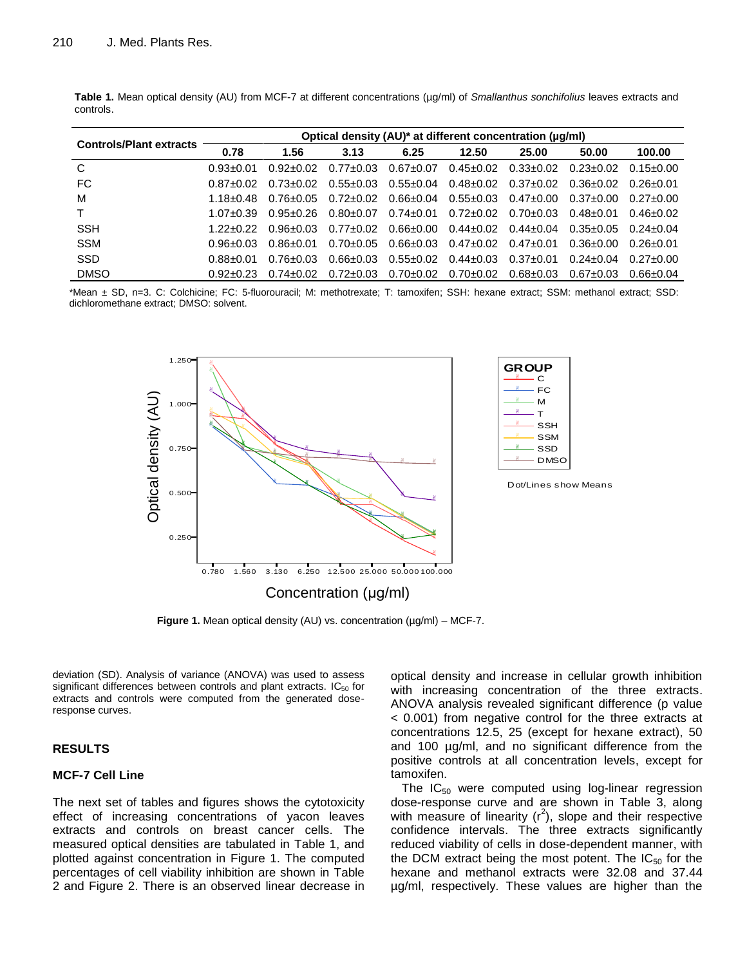| <b>Controls/Plant extracts</b> |               |               |                 | Optical density (AU)* at different concentration (µg/ml) |                                 |                                           |               |                 |
|--------------------------------|---------------|---------------|-----------------|----------------------------------------------------------|---------------------------------|-------------------------------------------|---------------|-----------------|
|                                | 0.78          | 1.56          | 3.13            | 6.25                                                     | 12.50                           | 25.00                                     | 50.00         | 100.00          |
| C                              | $0.93 + 0.01$ | $0.92 + 0.02$ | $0.77 \pm 0.03$ | $0.67 \pm 0.07$                                          |                                 | $0.45\pm0.02$ $0.33\pm0.02$ $0.23\pm0.02$ |               | $0.15 \pm 0.00$ |
| FC                             | $0.87 + 0.02$ | 0.73+0.02     | 0.55+0.03       | $0.55 \pm 0.04$                                          | $0.48 \pm 0.02$ $0.37 \pm 0.02$ |                                           | 0.36+0.02     | 0.26+0.01       |
| м                              | $1.18 + 0.48$ | 0.76+0.05     | $0.72 + 0.02$   | $0.66 \pm 0.04$                                          | $0.55 \pm 0.03$ $0.47 \pm 0.00$ |                                           | $0.37 + 0.00$ | $0.27 + 0.00$   |
| т                              | $1.07 + 0.39$ | 0.95+0.26     | $0.80 \pm 0.07$ | $0.74 \pm 0.01$                                          | $0.72 \pm 0.02$ $0.70 \pm 0.03$ |                                           | 0.48+0.01     | $0.46 + 0.02$   |
| <b>SSH</b>                     | 1 22+0 22     | 0.96+0.03     | 0.77+0.02       | $0.66 \pm 0.00$                                          | $0.44\pm0.02$ $0.44\pm0.04$     |                                           | 0.35+0.05     | $0.24 + 0.04$   |
| <b>SSM</b>                     | $0.96 + 0.03$ | 0.86+0.01     | $0.70 \pm 0.05$ | $0.66 \pm 0.03$                                          | $0.47\pm0.02$ $0.47\pm0.01$     |                                           | 0.36+0.00     | 0.26+0.01       |
| <b>SSD</b>                     | 0.88+0.01     | $0.76 + 0.03$ | 0.66+0.03       | $0.55 \pm 0.02$                                          | $0.44 \pm 0.03$ $0.37 \pm 0.01$ |                                           | $0.24 + 0.04$ | $0.27 + 0.00$   |
| <b>DMSO</b>                    | $0.92 + 0.23$ | $0.74 + 0.02$ | $0.72 \pm 0.03$ | $0.70 \pm 0.02$                                          | $0.70{\pm}0.02$                 | $0.68 \pm 0.03$                           | 0.67+0.03     | 0.66+0.04       |

**Table 1.** Mean optical density (AU) from MCF-7 at different concentrations (µg/ml) of *Smallanthus sonchifolius* leaves extracts and controls.

\*Mean ± SD, n=3. C: Colchicine; FC: 5-fluorouracil; M: methotrexate; T: tamoxifen; SSH: hexane extract; SSM: methanol extract; SSD: dichloromethane extract; DMSO: solvent.



**Figure 1.** Mean optical density (AU) vs. concentration (µg/ml) – MCF-7.

deviation (SD). Analysis of variance (ANOVA) was used to assess significant differences between controls and plant extracts.  $IC_{50}$  for extracts and controls were computed from the generated doseresponse curves.

# **RESULTS**

#### **MCF-7 Cell Line**

The next set of tables and figures shows the cytotoxicity effect of increasing concentrations of yacon leaves extracts and controls on breast cancer cells. The measured optical densities are tabulated in Table 1, and plotted against concentration in Figure 1. The computed percentages of cell viability inhibition are shown in Table 2 and Figure 2. There is an observed linear decrease in optical density and increase in cellular growth inhibition with increasing concentration of the three extracts. ANOVA analysis revealed significant difference (p value < 0.001) from negative control for the three extracts at concentrations 12.5, 25 (except for hexane extract), 50 and 100 µg/ml, and no significant difference from the positive controls at all concentration levels, except for tamoxifen.

The  $IC_{50}$  were computed using log-linear regression dose-response curve and are shown in Table 3, along with measure of linearity  $(r^2)$ , slope and their respective confidence intervals. The three extracts significantly reduced viability of cells in dose-dependent manner, with the DCM extract being the most potent. The  $IC_{50}$  for the hexane and methanol extracts were 32.08 and 37.44 µg/ml, respectively. These values are higher than the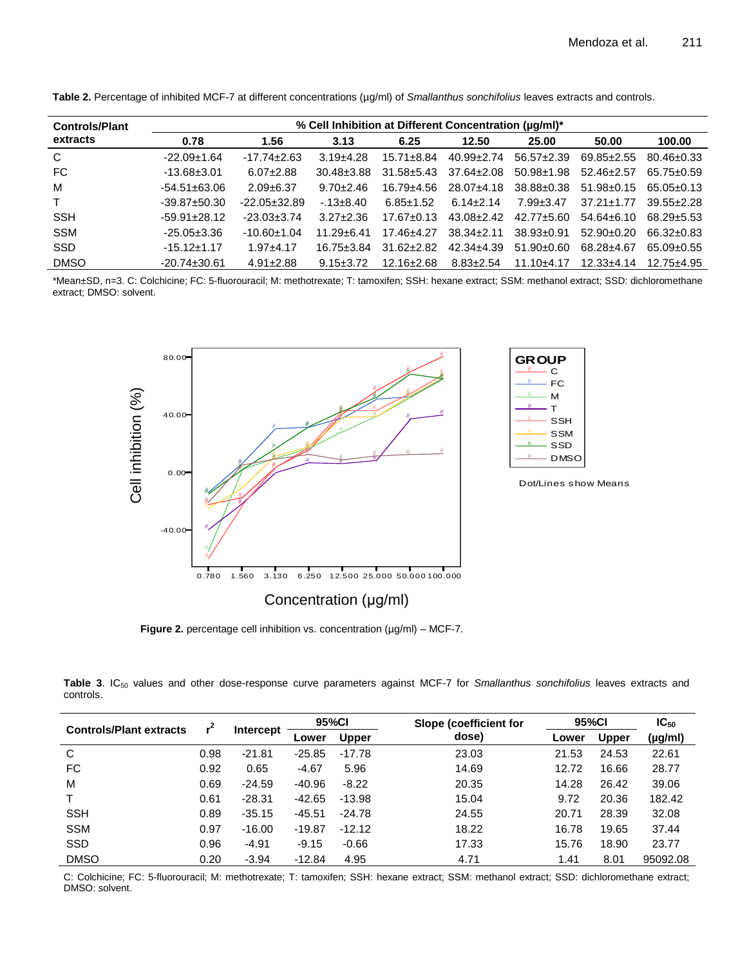|  | Table 2. Percentage of inhibited MCF-7 at different concentrations (µg/ml) of Smallanthus sonchifolius leaves extracts and controls. |
|--|--------------------------------------------------------------------------------------------------------------------------------------|
|--|--------------------------------------------------------------------------------------------------------------------------------------|

| <b>Controls/Plant</b> |                    | % Cell Inhibition at Different Concentration (uq/ml)* |                  |                  |                  |                  |                  |                  |  |  |  |
|-----------------------|--------------------|-------------------------------------------------------|------------------|------------------|------------------|------------------|------------------|------------------|--|--|--|
| extracts              | 0.78               | 1.56                                                  | 3.13             | 6.25             | 12.50            | 25.00            | 50.00            | 100.00           |  |  |  |
| $\mathsf{C}$          | $-22.09 \pm 1.64$  | $-17.74 \pm 2.63$                                     | $3.19 + 4.28$    | $15.71 \pm 8.84$ | $40.99 \pm 2.74$ | $56.57 \pm 2.39$ | $69.85 \pm 2.55$ | $80.46 \pm 0.33$ |  |  |  |
| FC                    | $-13.68 \pm 3.01$  | $6.07 \pm 2.88$                                       | $30.48 \pm 3.88$ | $31.58 \pm 5.43$ | $37.64 \pm 2.08$ | $50.98 \pm 1.98$ | $52.46 \pm 2.57$ | $65.75 \pm 0.59$ |  |  |  |
| м                     | $-54.51 \pm 63.06$ | $2.09 + 6.37$                                         | $9.70 \pm 2.46$  | 16.79±4.56       | $28.07+4.18$     | 38.88±0.38       | $51.98 \pm 0.15$ | 65.05+0.13       |  |  |  |
| $\mathsf{T}$          | $-39.87 \pm 50.30$ | $-22.05 \pm 32.89$                                    | $-13\pm8.40$     | $6.85 \pm 1.52$  | $6.14 \pm 2.14$  | $7.99 \pm 3.47$  | $37.21 \pm 1.77$ | $39.55 + 2.28$   |  |  |  |
| <b>SSH</b>            | $-59.91 \pm 28.12$ | $-23.03 \pm 3.74$                                     | $3.27 + 2.36$    | $17.67 \pm 0.13$ | $43.08 \pm 2.42$ | $42.77 + 5.60$   | $54.64 \pm 6.10$ | 68.29+5.53       |  |  |  |
| <b>SSM</b>            | $-25.05 \pm 3.36$  | $-10.60+1.04$                                         | $11.29 + 6.41$   | $17.46 + 4.27$   | $38.34 \pm 2.11$ | $38.93 \pm 0.91$ | $52.90+0.20$     | 66.32±0.83       |  |  |  |
| <b>SSD</b>            | $-15.12 \pm 1.17$  | $1.97 + 4.17$                                         | $16.75 \pm 3.84$ | $31.62 \pm 2.82$ | $42.34 \pm 4.39$ | $51.90 \pm 0.60$ | 68.28+4.67       | $65.09 \pm 0.55$ |  |  |  |
| <b>DMSO</b>           | $-20.74 \pm 30.61$ | $4.91 \pm 2.88$                                       | $9.15 \pm 3.72$  | $12.16 \pm 2.68$ | $8.83 \pm 2.54$  | $11.10+4.17$     | $12.33 + 4.14$   | $12.75 + 4.95$   |  |  |  |

\*Mean±SD, n=3. C: Colchicine; FC: 5-fluorouracil; M: methotrexate; T: tamoxifen; SSH: hexane extract; SSM: methanol extract; SSD: dichloromethane extract; DMSO: solvent.



**Figure 2.** percentage cell inhibition vs. concentration (µg/ml) – MCF-7.

Table 3. IC<sub>50</sub> values and other dose-response curve parameters against MCF-7 for *Smallanthus sonchifolius* leaves extracts and controls.

| <b>Controls/Plant extracts</b> | 2,   |                  | 95%CI    |              | Slope (coefficient for | 95%CI |              | $IC_{50}$    |
|--------------------------------|------|------------------|----------|--------------|------------------------|-------|--------------|--------------|
|                                |      | <b>Intercept</b> | Lower    | <b>Upper</b> | dose)                  | Lower | <b>Upper</b> | $(\mu g/ml)$ |
| C                              | 0.98 | $-21.81$         | $-25.85$ | $-17.78$     | 23.03                  | 21.53 | 24.53        | 22.61        |
| FC                             | 0.92 | 0.65             | $-4.67$  | 5.96         | 14.69                  | 12.72 | 16.66        | 28.77        |
| M                              | 0.69 | $-24.59$         | -40.96   | $-8.22$      | 20.35                  | 14.28 | 26.42        | 39.06        |
|                                | 0.61 | $-28.31$         | $-42.65$ | $-13.98$     | 15.04                  | 9.72  | 20.36        | 182.42       |
| <b>SSH</b>                     | 0.89 | $-35.15$         | $-45.51$ | $-24.78$     | 24.55                  | 20.71 | 28.39        | 32.08        |
| <b>SSM</b>                     | 0.97 | $-16.00$         | $-19.87$ | $-12.12$     | 18.22                  | 16.78 | 19.65        | 37.44        |
| <b>SSD</b>                     | 0.96 | $-4.91$          | $-9.15$  | $-0.66$      | 17.33                  | 15.76 | 18.90        | 23.77        |
| <b>DMSO</b>                    | 0.20 | $-3.94$          | $-12.84$ | 4.95         | 4.71                   | 1.41  | 8.01         | 95092.08     |

C: Colchicine; FC: 5-fluorouracil; M: methotrexate; T: tamoxifen; SSH: hexane extract; SSM: methanol extract; SSD: dichloromethane extract; DMSO: solvent.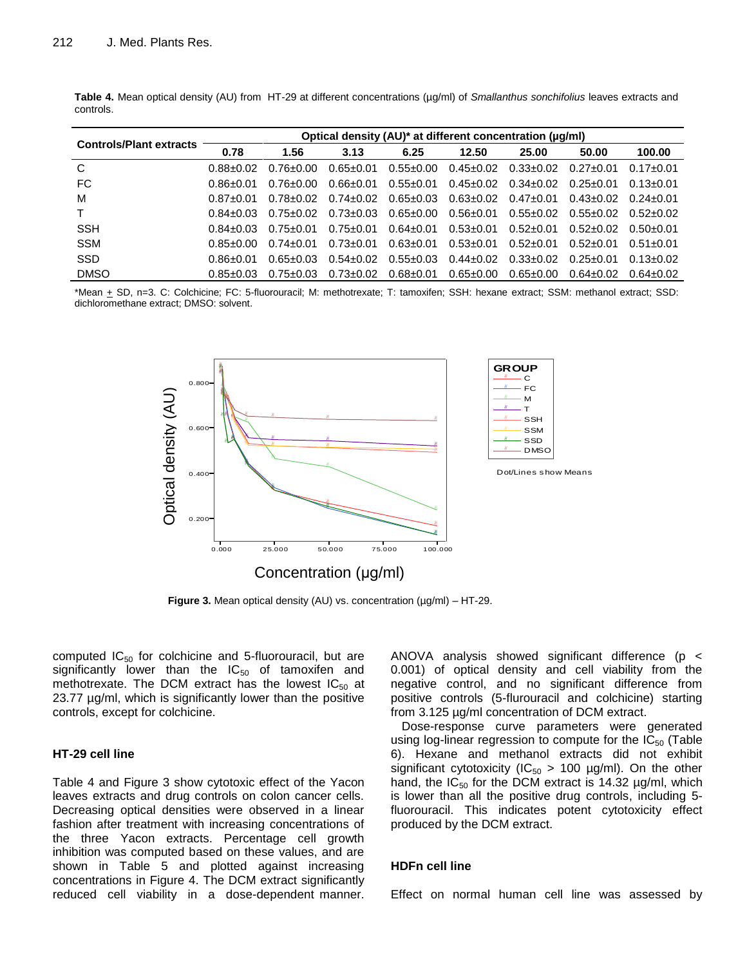| <b>Controls/Plant extracts</b> |               |               |                 | Optical density (AU)* at different concentration (µg/ml) |                                 |                                 |                 |                 |  |  |  |  |  |  |
|--------------------------------|---------------|---------------|-----------------|----------------------------------------------------------|---------------------------------|---------------------------------|-----------------|-----------------|--|--|--|--|--|--|
|                                | 0.78          | 1.56          | 3.13            | 6.25                                                     | 12.50                           | 25.00                           | 50.00           | 100.00          |  |  |  |  |  |  |
| C                              | $0.88 + 0.02$ | 0.76+0.00     | $0.65 \pm 0.01$ | $0.55 \pm 0.00$                                          | $0.45 \pm 0.02$                 | $0.33 \pm 0.02$                 | 0.27+0.01       | $0.17 + 0.01$   |  |  |  |  |  |  |
| FC                             | 0.86+0.01     | 0.76+0.00     | $0.66 \pm 0.01$ | $0.55 \pm 0.01$                                          |                                 | $0.45 \pm 0.02$ $0.34 \pm 0.02$ | 0.25+0.01       | $0.13 \pm 0.01$ |  |  |  |  |  |  |
| M                              | $0.87 + 0.01$ | 0.78+0.02     | $0.74 \pm 0.02$ | $0.65 \pm 0.03$                                          | $0.63 \pm 0.02$ $0.47 \pm 0.01$ |                                 | 0.43+0.02       | $0.24 + 0.01$   |  |  |  |  |  |  |
| $\mathsf{T}$                   | $0.84 + 0.03$ | $0.75 + 0.02$ | $0.73 \pm 0.03$ | $0.65 \pm 0.00$                                          | $0.56 \pm 0.01$                 | $0.55 \pm 0.02$                 | $0.55 \pm 0.02$ | $0.52 + 0.02$   |  |  |  |  |  |  |
| <b>SSH</b>                     | $0.84 + 0.03$ | 0.75+0.01     | $0.75 \pm 0.01$ | $0.64 \pm 0.01$                                          | 0.53+0.01                       | $0.52 + 0.01$                   | $0.52 + 0.02$   | $0.50 + 0.01$   |  |  |  |  |  |  |
| <b>SSM</b>                     | $0.85 + 0.00$ | $0.74 + 0.01$ | $0.73 \pm 0.01$ | $0.63 \pm 0.01$                                          | $0.53 \pm 0.01$                 | $0.52 \pm 0.01$                 | $0.52 + 0.01$   | $0.51 + 0.01$   |  |  |  |  |  |  |
| <b>SSD</b>                     | 0.86+0.01     | $0.65 + 0.03$ | $0.54 \pm 0.02$ | $0.55 \pm 0.03$                                          | $0.44 \pm 0.02$                 | $0.33 \pm 0.02$                 | 0.25+0.01       | $0.13 \pm 0.02$ |  |  |  |  |  |  |
| <b>DMSO</b>                    | $0.85 + 0.03$ | $0.75 + 0.03$ | $0.73 \pm 0.02$ | $0.68 \pm 0.01$                                          | $0.65 \pm 0.00$                 | $0.65 \pm 0.00$                 | $0.64 \pm 0.02$ | 0.64+0.02       |  |  |  |  |  |  |

**Table 4.** Mean optical density (AU) from HT-29 at different concentrations (µg/ml) of *Smallanthus sonchifolius* leaves extracts and controls.

\*Mean + SD, n=3. C: Colchicine; FC: 5-fluorouracil; M: methotrexate; T: tamoxifen; SSH: hexane extract; SSM: methanol extract; SSD: dichloromethane extract; DMSO: solvent.



**Figure 3.** Mean optical density (AU) vs. concentration (µg/ml) – HT-29.

computed  $IC_{50}$  for colchicine and 5-fluorouracil, but are significantly lower than the  $IC_{50}$  of tamoxifen and methotrexate. The DCM extract has the lowest  $IC_{50}$  at 23.77 µg/ml, which is significantly lower than the positive controls, except for colchicine.

#### **HT-29 cell line**

Table 4 and Figure 3 show cytotoxic effect of the Yacon leaves extracts and drug controls on colon cancer cells. Decreasing optical densities were observed in a linear fashion after treatment with increasing concentrations of the three Yacon extracts. Percentage cell growth inhibition was computed based on these values, and are shown in Table 5 and plotted against increasing concentrations in Figure 4. The DCM extract significantly reduced cell viability in a dose-dependent manner. ANOVA analysis showed significant difference (p < 0.001) of optical density and cell viability from the negative control, and no significant difference from positive controls (5-flurouracil and colchicine) starting from 3.125 µg/ml concentration of DCM extract.

Dose-response curve parameters were generated using log-linear regression to compute for the  $IC_{50}$  (Table 6). Hexane and methanol extracts did not exhibit significant cytotoxicity (IC<sub>50</sub> > 100  $\mu$ g/ml). On the other hand, the  $IC_{50}$  for the DCM extract is 14.32  $\mu$ g/ml, which is lower than all the positive drug controls, including 5 fluorouracil. This indicates potent cytotoxicity effect produced by the DCM extract.

#### **HDFn cell line**

Effect on normal human cell line was assessed by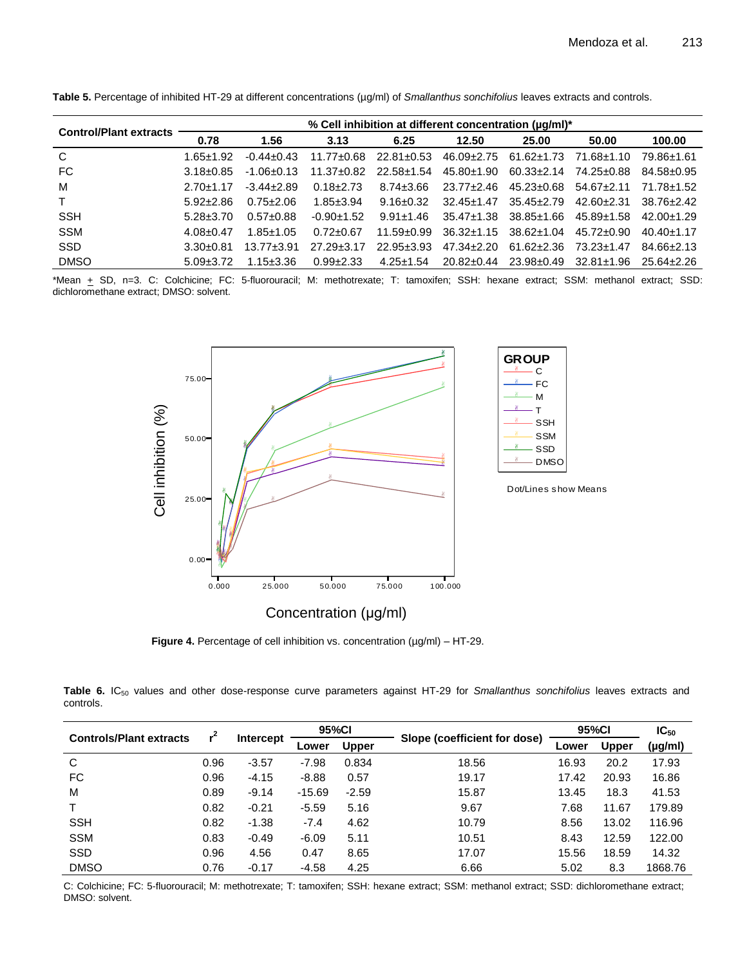| <b>Control/Plant extracts</b> |                 |                 |                  |                  | % Cell inhibition at different concentration (uq/ml)* |                  |                  |                  |
|-------------------------------|-----------------|-----------------|------------------|------------------|-------------------------------------------------------|------------------|------------------|------------------|
|                               | 0.78            | 1.56            | 3.13             | 6.25             | 12.50                                                 | 25.00            | 50.00            | 100.00           |
| C                             | 1.65+1.92       | $-0.44 + 0.43$  | $11.77 \pm 0.68$ | $22.81 \pm 0.53$ | $46.09 \pm 2.75$                                      | $61.62 \pm 1.73$ | 71.68+1.10       | 79.86±1.61       |
| FC                            | $3.18 + 0.85$   | $-1.06 + 0.13$  | $11.37 \pm 0.82$ | 22.58±1.54       | 45.80±1.90                                            | $60.33 \pm 2.14$ | 74.25+0.88       | $84.58 \pm 0.95$ |
| M                             | $2.70 + 1.17$   | $-3.44 + 2.89$  | $0.18 + 2.73$    | $8.74 \pm 3.66$  | $23.77 \pm 2.46$                                      | $45.23 \pm 0.68$ | $54.67 + 2.11$   | 71.78+1.52       |
| T.                            | $5.92 + 2.86$   | $0.75 + 2.06$   | $1.85 \pm 3.94$  | $9.16 \pm 0.32$  | $32.45 + 1.47$                                        | $35.45 + 2.79$   | $42.60 + 2.31$   | $38.76 + 2.42$   |
| <b>SSH</b>                    | $5.28 + 3.70$   | $0.57+0.88$     | $-0.90+1.52$     | $9.91 \pm 1.46$  | $35.47 \pm 1.38$                                      | $38.85 \pm 1.66$ | $45.89 \pm 1.58$ | $42.00+1.29$     |
| <b>SSM</b>                    | $4.08 \pm 0.47$ | $1.85 \pm 1.05$ | $0.72 \pm 0.67$  | $11.59 \pm 0.99$ | $36.32 \pm 1.15$                                      | $38.62 \pm 1.04$ | $45.72 \pm 0.90$ | $40.40 + 1.17$   |
| <b>SSD</b>                    | $3.30 + 0.81$   | $13.77 + 3.91$  | $27.29 \pm 3.17$ | $22.95 \pm 3.93$ | $47.34 + 2.20$                                        | 61.62+2.36       | 73.23+1.47       | $84.66 + 2.13$   |
| <b>DMSO</b>                   | $5.09 \pm 3.72$ | $1.15 \pm 3.36$ | $0.99 + 2.33$    | $4.25 \pm 1.54$  | $20.82 \pm 0.44$                                      | $23.98 \pm 0.49$ | $32.81 \pm 1.96$ | 25.64+2.26       |

Table 5. Percentage of inhibited HT-29 at different concentrations (µg/ml) of *Smallanthus sonchifolius* leaves extracts and controls.

\*Mean + SD, n=3. C: Colchicine; FC: 5-fluorouracil; M: methotrexate; T: tamoxifen; SSH: hexane extract; SSM: methanol extract; SSD: dichloromethane extract; DMSO: solvent.



**Figure 4.** Percentage of cell inhibition vs. concentration (µg/ml) – HT-29.

Table 6. IC<sub>50</sub> values and other dose-response curve parameters against HT-29 for *Smallanthus sonchifolius* leaves extracts and controls.

|                                |      |                  | 95%Cl    |              |                              | 95%CI | $IC_{50}$    |         |
|--------------------------------|------|------------------|----------|--------------|------------------------------|-------|--------------|---------|
| <b>Controls/Plant extracts</b> |      | <b>Intercept</b> | Lower    | <b>Upper</b> | Slope (coefficient for dose) | Lower | <b>Upper</b> | (µg/ml) |
| С                              | 0.96 | $-3.57$          | $-7.98$  | 0.834        | 18.56                        | 16.93 | 20.2         | 17.93   |
| FC                             | 0.96 | $-4.15$          | $-8.88$  | 0.57         | 19.17                        | 17.42 | 20.93        | 16.86   |
| M                              | 0.89 | $-9.14$          | $-15.69$ | $-2.59$      | 15.87                        | 13.45 | 18.3         | 41.53   |
|                                | 0.82 | $-0.21$          | $-5.59$  | 5.16         | 9.67                         | 7.68  | 11.67        | 179.89  |
| <b>SSH</b>                     | 0.82 | $-1.38$          | $-7.4$   | 4.62         | 10.79                        | 8.56  | 13.02        | 116.96  |
| <b>SSM</b>                     | 0.83 | $-0.49$          | $-6.09$  | 5.11         | 10.51                        | 8.43  | 12.59        | 122.00  |
| <b>SSD</b>                     | 0.96 | 4.56             | 0.47     | 8.65         | 17.07                        | 15.56 | 18.59        | 14.32   |
| <b>DMSO</b>                    | 0.76 | $-0.17$          | $-4.58$  | 4.25         | 6.66                         | 5.02  | 8.3          | 1868.76 |

C: Colchicine; FC: 5-fluorouracil; M: methotrexate; T: tamoxifen; SSH: hexane extract; SSM: methanol extract; SSD: dichloromethane extract; DMSO: solvent.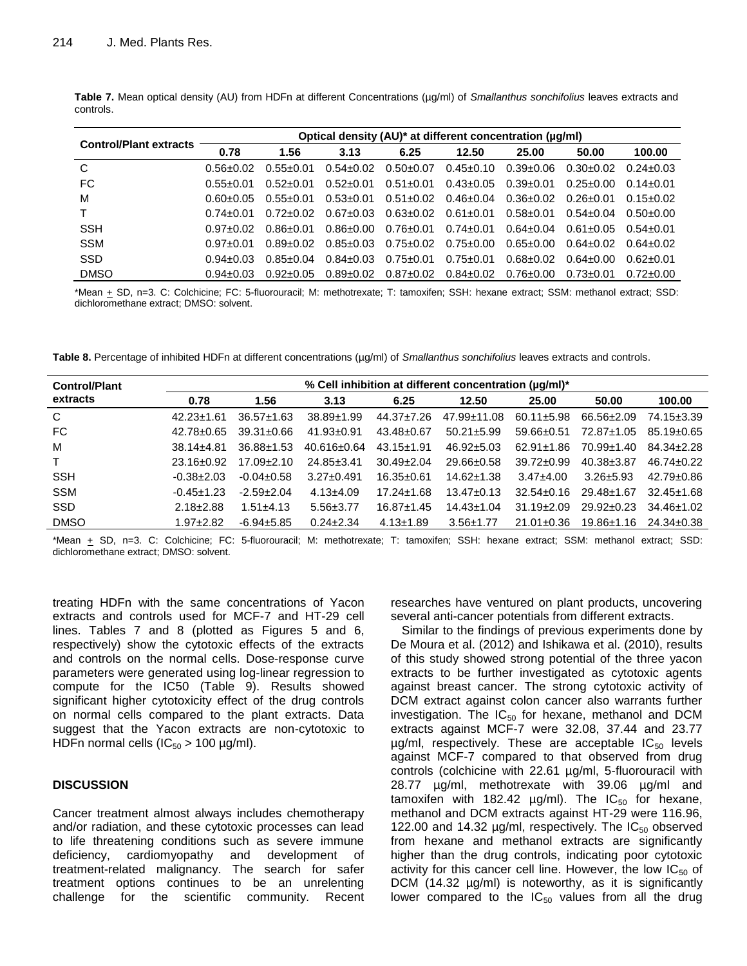| <b>Control/Plant extracts</b> |               |               |                 |                 | Optical density (AU)* at different concentration (µg/ml) |                 |                 |               |
|-------------------------------|---------------|---------------|-----------------|-----------------|----------------------------------------------------------|-----------------|-----------------|---------------|
|                               | 0.78          | 1.56          | 3.13            | 6.25            | 12.50                                                    | 25.00           | 50.00           | 100.00        |
| C                             | $0.56 + 0.02$ | $0.55 + 0.01$ | $0.54 \pm 0.02$ | $0.50 \pm 0.07$ | $0.45 \pm 0.10$                                          | $0.39 \pm 0.06$ | $0.30 \pm 0.02$ | $0.24 + 0.03$ |
| FC                            | $0.55 + 0.01$ | $0.52 + 0.01$ | $0.52 \pm 0.01$ | $0.51 + 0.01$   | $0.43 \pm 0.05$                                          | $0.39 \pm 0.01$ | 0.25+0.00       | $0.14 + 0.01$ |
| M                             | 0.60+0.05     | $0.55 + 0.01$ | $0.53 \pm 0.01$ | $0.51 \pm 0.02$ | $0.46 \pm 0.04$                                          | $0.36 \pm 0.02$ | 0.26+0.01       | $0.15 + 0.02$ |
|                               | በ 74+በ በ1     | $0.72 + 0.02$ | $0.67 \pm 0.03$ | 0.63+0.02       | $0.61 \pm 0.01$                                          | $0.58 + 0.01$   | $0.54 \pm 0.04$ | 0.50+0.00     |
| <b>SSH</b>                    | $0.97 + 0.02$ | 0.86+0.01     | $0.86 \pm 0.00$ | $0.76 \pm 0.01$ | $0.74 \pm 0.01$                                          | 0.64+0.04       | 0.61+0.05       | 0.54+0.01     |
| <b>SSM</b>                    | $0.97 + 0.01$ | 0.89+0.02     | $0.85 \pm 0.03$ | $0.75 \pm 0.02$ | $0.75 \pm 0.00$                                          | $0.65 \pm 0.00$ | 0.64+0.02       | 0.64+0.02     |
| <b>SSD</b>                    | $0.94 + 0.03$ | $0.85 + 0.04$ | $0.84 + 0.03$   | $0.75 \pm 0.01$ | $0.75 \pm 0.01$                                          | 0.68+0.02       | 0.64+0.00       | 0.62+0.01     |
| <b>DMSO</b>                   | $0.94 + 0.03$ | $0.92 + 0.05$ | $0.89 \pm 0.02$ | $0.87{\pm}0.02$ | $0.84 \pm 0.02$                                          | 0.76±0.00       | 0.73+0.01       | $0.72 + 0.00$ |

**Table 7.** Mean optical density (AU) from HDFn at different Concentrations (µg/ml) of *Smallanthus sonchifolius* leaves extracts and controls.

\*Mean + SD, n=3. C: Colchicine; FC: 5-fluorouracil; M: methotrexate; T: tamoxifen; SSH: hexane extract; SSM: methanol extract; SSD: dichloromethane extract; DMSO: solvent.

**Table 8.** Percentage of inhibited HDFn at different concentrations (µg/ml) of *Smallanthus sonchifolius* leaves extracts and controls.

| <b>Control/Plant</b> |                  | % Cell inhibition at different concentration (uq/ml)* |                   |                  |                   |                  |                  |                  |  |  |  |
|----------------------|------------------|-------------------------------------------------------|-------------------|------------------|-------------------|------------------|------------------|------------------|--|--|--|
| extracts             | 0.78             | 1.56                                                  | 3.13              | 6.25             | 12.50             | 25.00            | 50.00            | 100.00           |  |  |  |
| C                    | $42.23 \pm 1.61$ | $36.57 \pm 1.63$                                      | $38.89 \pm 1.99$  | 44.37±7.26       | $47.99 \pm 11.08$ | $60.11 \pm 5.98$ | $66.56 \pm 2.09$ | 74.15±3.39       |  |  |  |
| FC                   | 42.78+0.65       | $39.31 \pm 0.66$                                      | $41.93 \pm 0.91$  | $43.48 \pm 0.67$ | $50.21 \pm 5.99$  | $59.66 \pm 0.51$ | 72.87±1.05       | $85.19 \pm 0.65$ |  |  |  |
| M                    | $38.14 + 4.81$   | $36.88 \pm 1.53$                                      | $40.616 \pm 0.64$ | $43.15 \pm 1.91$ | $46.92 \pm 5.03$  | $62.91 \pm 1.86$ | $70.99 \pm 1.40$ | $84.34 \pm 2.28$ |  |  |  |
| $\mathsf{T}$         | $23.16 \pm 0.92$ | $17.09 \pm 2.10$                                      | $24.85 \pm 3.41$  | $30.49 \pm 2.04$ | $29.66 \pm 0.58$  | $39.72 \pm 0.99$ | $40.38 \pm 3.87$ | $46.74 \pm 0.22$ |  |  |  |
| <b>SSH</b>           | $-0.38 \pm 2.03$ | $-0.04 \pm 0.58$                                      | $3.27 \pm 0.491$  | $16.35 \pm 0.61$ | $14.62 \pm 1.38$  | $3.47 \pm 4.00$  | $3.26 \pm 5.93$  | $42.79 \pm 0.86$ |  |  |  |
| <b>SSM</b>           | $-0.45 \pm 1.23$ | $-2.59+2.04$                                          | $4.13 + 4.09$     | $17.24 \pm 1.68$ | $13.47 \pm 0.13$  | $32.54 \pm 0.16$ | $29.48 \pm 1.67$ | $32.45 + 1.68$   |  |  |  |
| <b>SSD</b>           | $2.18 \pm 2.88$  | $1.51 + 4.13$                                         | $5.56 \pm 3.77$   | $16.87 \pm 1.45$ | $14.43 \pm 1.04$  | $31.19 \pm 2.09$ | $29.92 \pm 0.23$ | $34.46 + 1.02$   |  |  |  |
| <b>DMSO</b>          | $1.97 + 2.82$    | $-6.94 \pm 5.85$                                      | $0.24 \pm 2.34$   | $4.13 \pm 1.89$  | $3.56 \pm 1.77$   | $21.01 \pm 0.36$ | $19.86 \pm 1.16$ | $24.34 + 0.38$   |  |  |  |

\*Mean + SD, n=3. C: Colchicine; FC: 5-fluorouracil; M: methotrexate; T: tamoxifen; SSH: hexane extract; SSM: methanol extract; SSD: dichloromethane extract; DMSO: solvent.

treating HDFn with the same concentrations of Yacon extracts and controls used for MCF-7 and HT-29 cell lines. Tables 7 and 8 (plotted as Figures 5 and 6, respectively) show the cytotoxic effects of the extracts and controls on the normal cells. Dose-response curve parameters were generated using log-linear regression to compute for the IC50 (Table 9). Results showed significant higher cytotoxicity effect of the drug controls on normal cells compared to the plant extracts. Data suggest that the Yacon extracts are non-cytotoxic to HDFn normal cells ( $IC_{50} > 100 \mu g/ml$ ).

# **DISCUSSION**

Cancer treatment almost always includes chemotherapy and/or radiation, and these cytotoxic processes can lead to life threatening conditions such as severe immune deficiency, cardiomyopathy and development of treatment-related malignancy. The search for safer treatment options continues to be an unrelenting challenge for the scientific community. Recent researches have ventured on plant products, uncovering several anti-cancer potentials from different extracts.

Similar to the findings of previous experiments done by De Moura et al. (2012) and Ishikawa et al. (2010), results of this study showed strong potential of the three yacon extracts to be further investigated as cytotoxic agents against breast cancer. The strong cytotoxic activity of DCM extract against colon cancer also warrants further investigation. The  $IC_{50}$  for hexane, methanol and DCM extracts against MCF-7 were 32.08, 37.44 and 23.77  $\mu$ g/ml, respectively. These are acceptable IC<sub>50</sub> levels against MCF-7 compared to that observed from drug controls (colchicine with 22.61 µg/ml, 5-fluorouracil with 28.77 µg/ml, methotrexate with 39.06 µg/ml and tamoxifen with 182.42  $\mu$ g/ml). The IC<sub>50</sub> for hexane, methanol and DCM extracts against HT-29 were 116.96, 122.00 and 14.32  $\mu$ g/ml, respectively. The IC<sub>50</sub> observed from hexane and methanol extracts are significantly higher than the drug controls, indicating poor cytotoxic activity for this cancer cell line. However, the low  $IC_{50}$  of DCM (14.32 µg/ml) is noteworthy, as it is significantly lower compared to the  $IC_{50}$  values from all the drug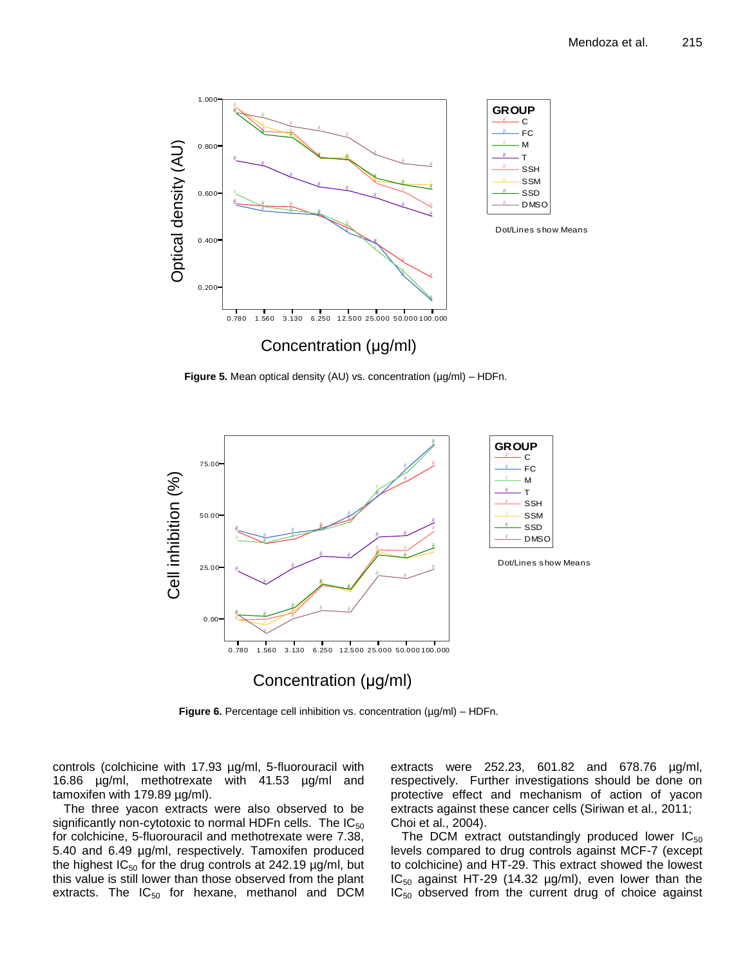

**Figure 5.** Mean optical density (AU) vs. concentration (µg/ml) – HDFn.



**Figure 6.** Percentage cell inhibition vs. concentration (µg/ml) – HDFn.

controls (colchicine with 17.93 µg/ml, 5-fluorouracil with 16.86 µg/ml, methotrexate with 41.53 µg/ml and tamoxifen with 179.89 µg/ml).

The three yacon extracts were also observed to be significantly non-cytotoxic to normal HDFn cells. The  $IC_{50}$ for colchicine, 5-fluorouracil and methotrexate were 7.38, 5.40 and 6.49 µg/ml, respectively. Tamoxifen produced the highest  $IC_{50}$  for the drug controls at 242.19  $\mu$ g/ml, but this value is still lower than those observed from the plant extracts. The  $IC_{50}$  for hexane, methanol and DCM

extracts were 252.23, 601.82 and 678.76 µg/ml, respectively. Further investigations should be done on protective effect and mechanism of action of yacon extracts against these cancer cells (Siriwan et al., 2011; Choi et al., 2004).

The DCM extract outstandingly produced lower  $IC_{50}$ levels compared to drug controls against MCF-7 (except to colchicine) and HT-29. This extract showed the lowest  $IC_{50}$  against HT-29 (14.32 µg/ml), even lower than the  $IC_{50}$  observed from the current drug of choice against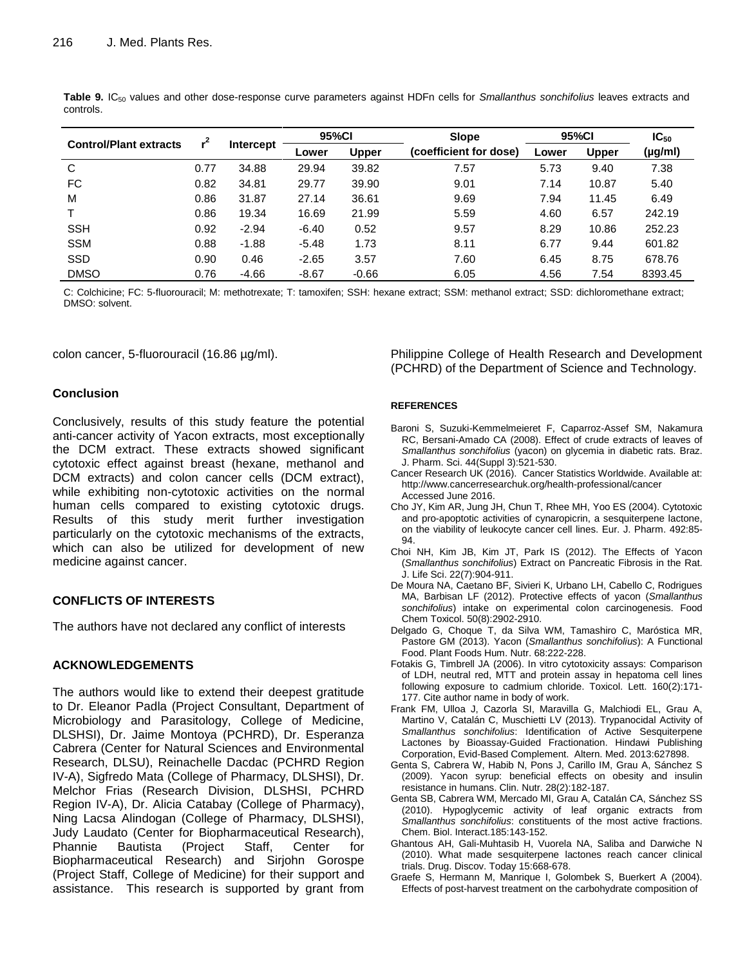| <b>Control/Plant extracts</b> |      |                  | 95%CI   |              | <b>Slope</b>           | 95%CI |              | $IC_{50}$                                                                    |
|-------------------------------|------|------------------|---------|--------------|------------------------|-------|--------------|------------------------------------------------------------------------------|
|                               |      | <b>Intercept</b> | Lower   | <b>Upper</b> | (coefficient for dose) | Lower | <b>Upper</b> | $(\mu g/ml)$<br>7.38<br>5.40<br>6.49<br>242.19<br>252.23<br>601.82<br>678.76 |
| C                             | 0.77 | 34.88            | 29.94   | 39.82        | 7.57                   | 5.73  | 9.40         |                                                                              |
| <b>FC</b>                     | 0.82 | 34.81            | 29.77   | 39.90        | 9.01                   | 7.14  | 10.87        |                                                                              |
| M                             | 0.86 | 31.87            | 27.14   | 36.61        | 9.69                   | 7.94  | 11.45        |                                                                              |
|                               | 0.86 | 19.34            | 16.69   | 21.99        | 5.59                   | 4.60  | 6.57         |                                                                              |
| <b>SSH</b>                    | 0.92 | $-2.94$          | $-6.40$ | 0.52         | 9.57                   | 8.29  | 10.86        |                                                                              |
| <b>SSM</b>                    | 0.88 | $-1.88$          | $-5.48$ | 1.73         | 8.11                   | 6.77  | 9.44         |                                                                              |
| <b>SSD</b>                    | 0.90 | 0.46             | $-2.65$ | 3.57         | 7.60                   | 6.45  | 8.75         |                                                                              |
| <b>DMSO</b>                   | 0.76 | $-4.66$          | $-8.67$ | $-0.66$      | 6.05                   | 4.56  | 7.54         | 8393.45                                                                      |

Table 9. IC<sub>50</sub> values and other dose-response curve parameters against HDFn cells for *Smallanthus sonchifolius* leaves extracts and controls.

C: Colchicine; FC: 5-fluorouracil; M: methotrexate; T: tamoxifen; SSH: hexane extract; SSM: methanol extract; SSD: dichloromethane extract; DMSO: solvent.

colon cancer, 5-fluorouracil (16.86 µg/ml).

### **Conclusion**

Conclusively, results of this study feature the potential anti-cancer activity of Yacon extracts, most exceptionally the DCM extract. These extracts showed significant cytotoxic effect against breast (hexane, methanol and DCM extracts) and colon cancer cells (DCM extract), while exhibiting non-cytotoxic activities on the normal human cells compared to existing cytotoxic drugs. Results of this study merit further investigation particularly on the cytotoxic mechanisms of the extracts, which can also be utilized for development of new medicine against cancer.

# **CONFLICTS OF INTERESTS**

The authors have not declared any conflict of interests

# **ACKNOWLEDGEMENTS**

The authors would like to extend their deepest gratitude to Dr. Eleanor Padla (Project Consultant, Department of Microbiology and Parasitology, College of Medicine, DLSHSI), Dr. Jaime Montoya (PCHRD), Dr. Esperanza Cabrera (Center for Natural Sciences and Environmental Research, DLSU), Reinachelle Dacdac (PCHRD Region IV-A), Sigfredo Mata (College of Pharmacy, DLSHSI), Dr. Melchor Frias (Research Division, DLSHSI, PCHRD Region IV-A), Dr. Alicia Catabay (College of Pharmacy), Ning Lacsa Alindogan (College of Pharmacy, DLSHSI), Judy Laudato (Center for Biopharmaceutical Research), Phannie Bautista (Project Staff, Center for Biopharmaceutical Research) and Sirjohn Gorospe (Project Staff, College of Medicine) for their support and assistance. This research is supported by grant from Philippine College of Health Research and Development (PCHRD) of the Department of Science and Technology.

#### **REFERENCES**

- Baroni S, Suzuki-Kemmelmeieret F, Caparroz-Assef SM, Nakamura RC, Bersani-Amado CA (2008). Effect of crude extracts of leaves of *Smallanthus sonchifolius* (yacon) on glycemia in diabetic rats. Braz. J. Pharm. Sci. 44(Suppl 3):521-530.
- Cancer Research UK (2016). Cancer Statistics Worldwide. Available at: http://www.cancerresearchuk.org/health-professional/cancer Accessed June 2016.
- Cho JY, Kim AR, Jung JH, Chun T, Rhee MH, Yoo ES (2004). Cytotoxic and pro-apoptotic activities of cynaropicrin, a sesquiterpene lactone, on the viability of leukocyte cancer cell lines. Eur. J. Pharm. 492:85- 94.
- Choi NH, Kim JB, Kim JT, Park IS (2012). The Effects of Yacon (*Smallanthus sonchifolius*) Extract on Pancreatic Fibrosis in the Rat. J. Life Sci. 22(7):904-911.
- De Moura NA, Caetano BF, Sivieri K, Urbano LH, Cabello C, Rodrigues MA, Barbisan LF (2012). Protective effects of yacon (*Smallanthus sonchifolius*) intake on experimental colon carcinogenesis. Food Chem Toxicol. 50(8):2902-2910.
- Delgado G, Choque T, da Silva WM, Tamashiro C, Maróstica MR, Pastore GM (2013). Yacon (*Smallanthus sonchifolius*): A Functional Food. Plant Foods Hum. Nutr. 68:222-228.
- Fotakis G, Timbrell JA (2006). In vitro cytotoxicity assays: Comparison of LDH, neutral red, MTT and protein assay in hepatoma cell lines following exposure to cadmium chloride. Toxicol. Lett. 160(2):171- 177. Cite author name in body of work.
- Frank FM, Ulloa J, Cazorla SI, Maravilla G, Malchiodi EL, Grau A, Martino V, Catalán C, Muschietti LV (2013). Trypanocidal Activity of *Smallanthus sonchifolius*: Identification of Active Sesquiterpene Lactones by Bioassay-Guided Fractionation. Hindawi Publishing Corporation, Evid-Based Complement. Altern. Med. 2013:627898.
- Genta S, Cabrera W, Habib N, Pons J, Carillo IM, Grau A, Sánchez S (2009). Yacon syrup: beneficial effects on obesity and insulin resistance in humans. Clin. Nutr. 28(2):182-187.
- Genta SB, Cabrera WM, Mercado MI, Grau A, Catalán CA, Sánchez SS (2010). Hypoglycemic activity of leaf organic extracts from *Smallanthus sonchifolius*: constituents of the most active fractions. Chem. Biol. Interact.185:143-152.
- Ghantous AH, Gali-Muhtasib H, Vuorela NA, Saliba and Darwiche N (2010). What made sesquiterpene lactones reach cancer clinical trials. Drug. Discov. Today 15:668-678.
- Graefe S, Hermann M, Manrique I, Golombek S, Buerkert A (2004). Effects of post-harvest treatment on the carbohydrate composition of